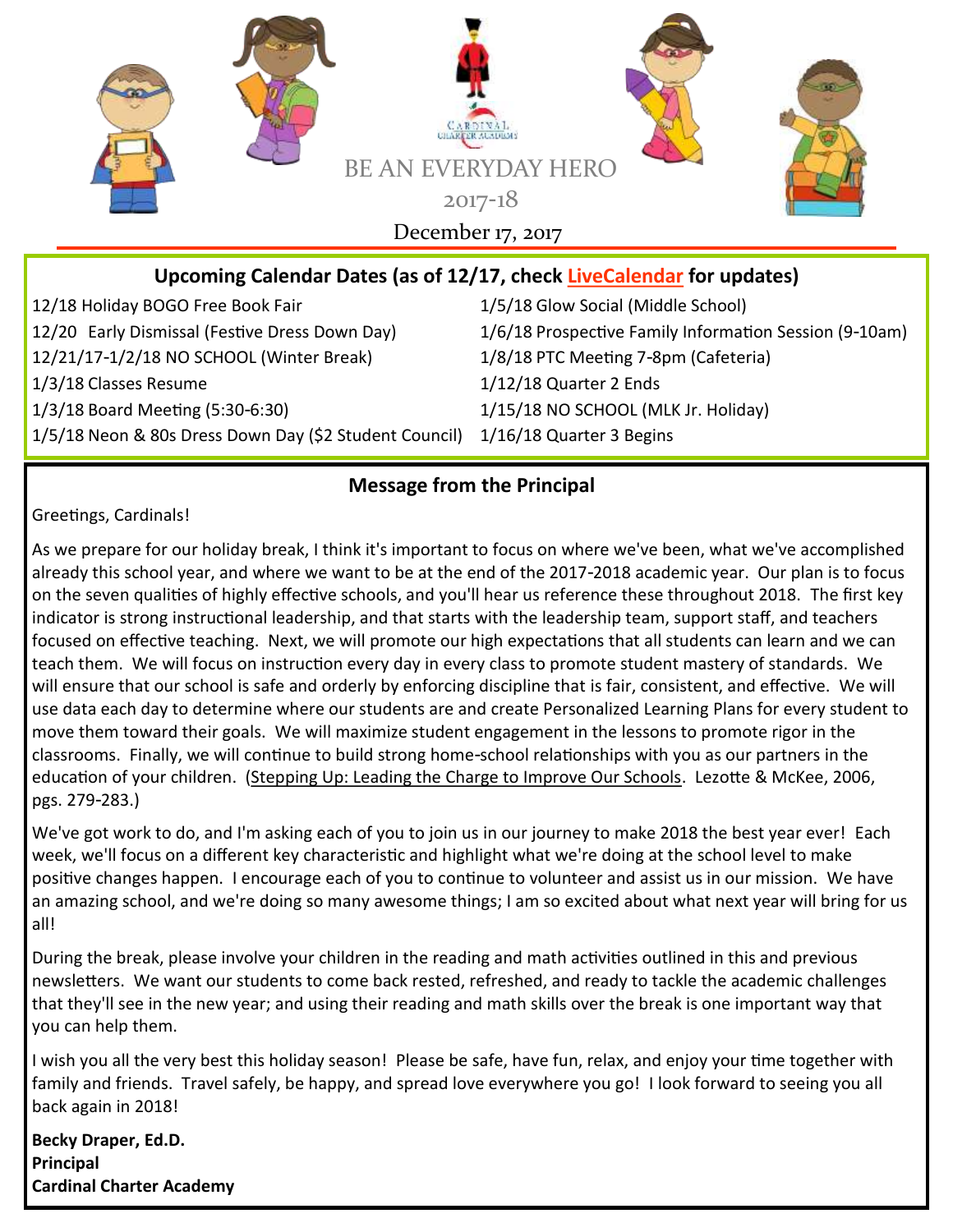

### **Upcoming Calendar Dates (as of 12/17, check [LiveCalendar](https://ccaptccary.org/calendar/) for updates)**

12/18 Holiday BOGO Free Book Fair 1/5/18 Glow Social (Middle School) 12/21/17-1/2/18 NO SCHOOL (Winter Break) 1/8/18 PTC Meeting 7-8pm (Cafeteria) 1/3/18 Classes Resume 1/12/18 Quarter 2 Ends 1/3/18 Board Meeting (5:30-6:30) 1/15/18 NO SCHOOL (MLK Jr. Holiday) 1/5/18 Neon & 80s Dress Down Day (\$2 Student Council) 1/16/18 Quarter 3 Begins

12/20 Early Dismissal (Festive Dress Down Day) 1/6/18 Prospective Family Information Session (9-10am)

#### **Message from the Principal**

Greetings, Cardinals!

As we prepare for our holiday break, I think it's important to focus on where we've been, what we've accomplished already this school year, and where we want to be at the end of the 2017-2018 academic year. Our plan is to focus on the seven qualities of highly effective schools, and you'll hear us reference these throughout 2018. The first key indicator is strong instructional leadership, and that starts with the leadership team, support staff, and teachers focused on effective teaching. Next, we will promote our high expectations that all students can learn and we can teach them. We will focus on instruction every day in every class to promote student mastery of standards. We will ensure that our school is safe and orderly by enforcing discipline that is fair, consistent, and effective. We will use data each day to determine where our students are and create Personalized Learning Plans for every student to move them toward their goals. We will maximize student engagement in the lessons to promote rigor in the classrooms. Finally, we will continue to build strong home-school relationships with you as our partners in the education of your children. (Stepping Up: Leading the Charge to Improve Our Schools. Lezotte & McKee, 2006, pgs. 279-283.)

We've got work to do, and I'm asking each of you to join us in our journey to make 2018 the best year ever! Each week, we'll focus on a different key characteristic and highlight what we're doing at the school level to make positive changes happen. I encourage each of you to continue to volunteer and assist us in our mission. We have an amazing school, and we're doing so many awesome things; I am so excited about what next year will bring for us all!

During the break, please involve your children in the reading and math activities outlined in this and previous newsletters. We want our students to come back rested, refreshed, and ready to tackle the academic challenges that they'll see in the new year; and using their reading and math skills over the break is one important way that you can help them.

I wish you all the very best this holiday season! Please be safe, have fun, relax, and enjoy your time together with family and friends. Travel safely, be happy, and spread love everywhere you go! I look forward to seeing you all back again in 2018!

**Becky Draper, Ed.D. Principal Cardinal Charter Academy**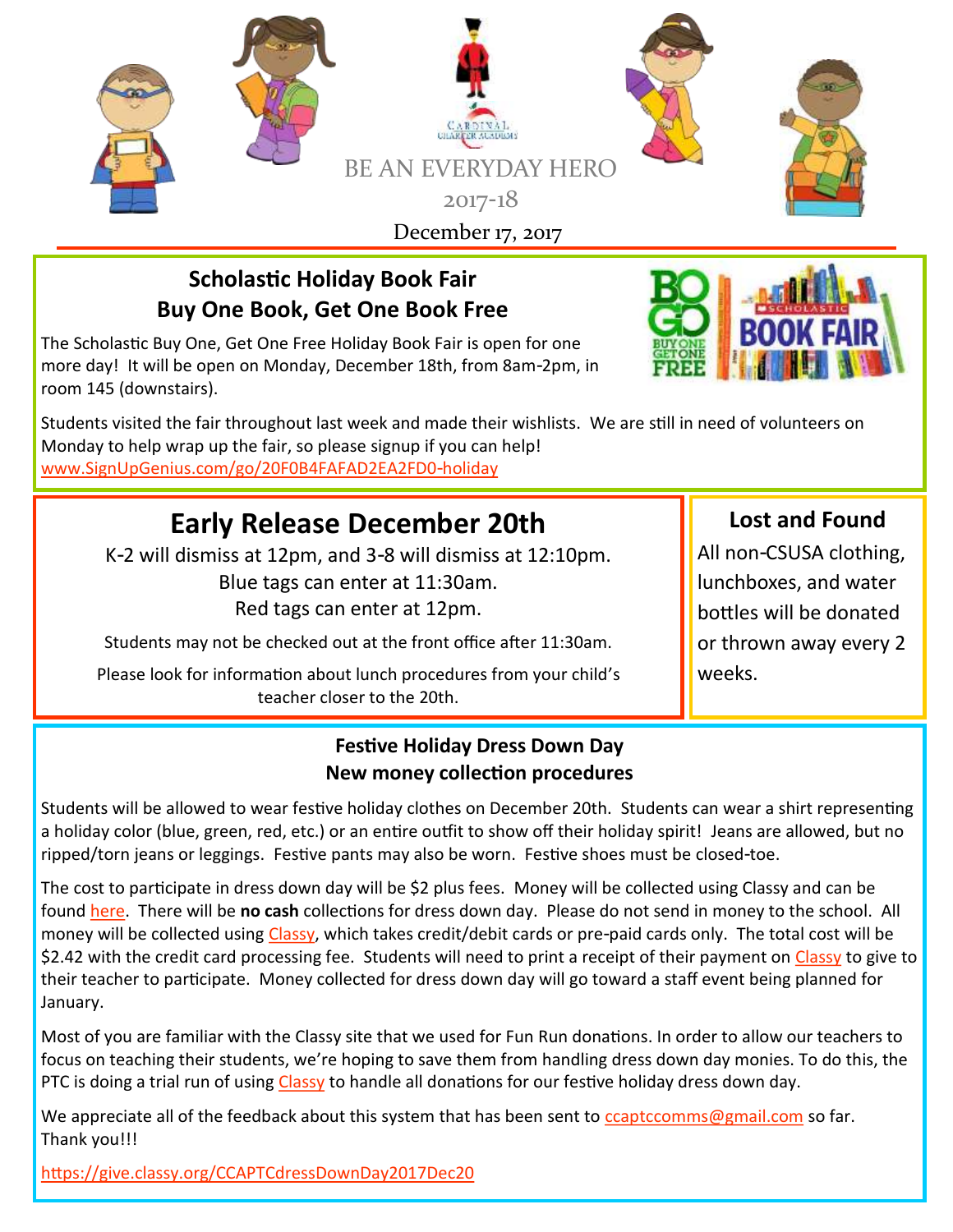

## **Scholastic Holiday Book Fair Buy One Book, Get One Book Free**

The Scholastic Buy One, Get One Free Holiday Book Fair is open for one more day! It will be open on Monday, December 18th, from 8am-2pm, in room 145 (downstairs).

Students visited the fair throughout last week and made their wishlists. We are still in need of volunteers on Monday to help wrap up the fair, so please signup if you can help! [www.SignUpGenius.com/go/20F0B4FAFAD2EA2FD0-holiday](http://www.signupgenius.com/go/20F0B4FAFAD2EA2FD0-holiday)

# **Early Release December 20th**

K-2 will dismiss at 12pm, and 3-8 will dismiss at 12:10pm. Blue tags can enter at 11:30am. Red tags can enter at 12pm.

Students may not be checked out at the front office after 11:30am.

Please look for information about lunch procedures from your child's teacher closer to the 20th.

## **Lost and Found**

All non-CSUSA clothing, lunchboxes, and water bottles will be donated or thrown away every 2 weeks.

## **Festive Holiday Dress Down Day New money collection procedures**

Students will be allowed to wear festive holiday clothes on December 20th. Students can wear a shirt representing a holiday color (blue, green, red, etc.) or an entire outfit to show off their holiday spirit! Jeans are allowed, but no ripped/torn jeans or leggings. Festive pants may also be worn. Festive shoes must be closed-toe.

The cost to participate in dress down day will be \$2 plus fees. Money will be collected using Classy and can be found [here.](https://give.classy.org/CCAPTCdressDownDay2017Dec20) There will be **no cash** collections for dress down day. Please do not send in money to the school. All money will be collected using [Classy,](https://give.classy.org/CCAPTCdressDownDay2017Dec20) which takes credit/debit cards or pre-paid cards only. The total cost will be \$2.42 with the credit card processing fee. Students will need to print a receipt of their payment on [Classy](https://give.classy.org/CCAPTCdressDownDay2017Dec20) to give to their teacher to participate. Money collected for dress down day will go toward a staff event being planned for January.

Most of you are familiar with the Classy site that we used for Fun Run donations. In order to allow our teachers to focus on teaching their students, we're hoping to save them from handling dress down day monies. To do this, the PTC is doing a trial run of using [Classy](https://give.classy.org/CCAPTCdressDownDay2017Dec20) to handle all donations for our festive holiday dress down day.

We appreciate all of the feedback about this system that has been sent to [ccaptccomms@gmail.com](mailto:ccaptccomms@gmail.com) so far. Thank you!!!

<https://give.classy.org/CCAPTCdressDownDay2017Dec20>

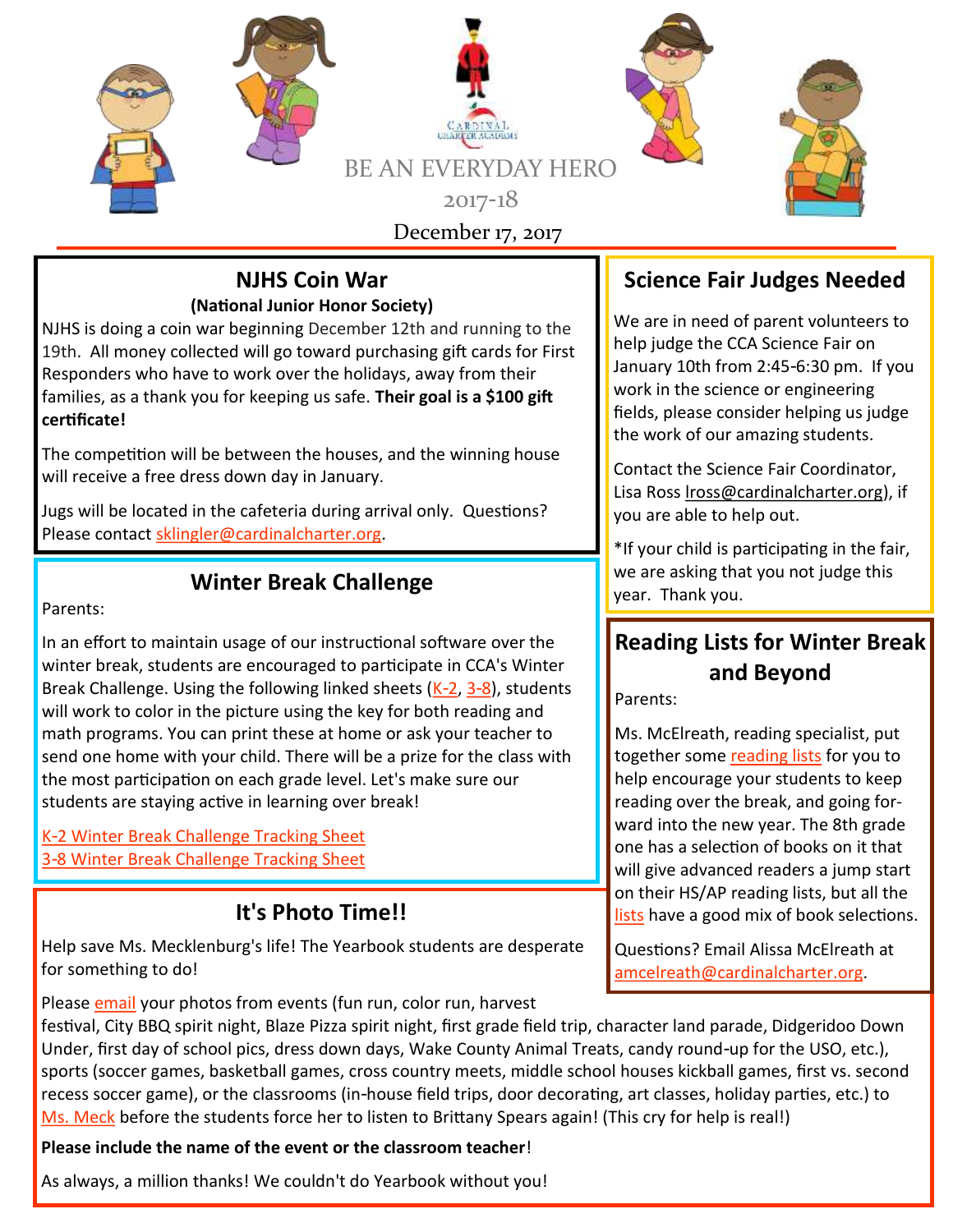

#### **NJHS Coin War (National Junior Honor Society)**

NJHS is doing a coin war beginning December 12th and running to the 19th. All money collected will go toward purchasing gift cards for First Responders who have to work over the holidays, away from their families, as a thank you for keeping us safe. **Their goal is a \$100 gift certificate!**

The competition will be between the houses, and the winning house will receive a free dress down day in January.

Jugs will be located in the cafeteria during arrival only. Questions? Please contact [sklingler@cardinalcharter.org.](mailto:sklingler@cardinalcharter.org)

Parents:

In an effort to maintain usage of our instructional software over the winter break, students are encouraged to participate in CCA's Winter Break Challenge. Using the following linked sheets  $(K-2, 3-8)$  $(K-2, 3-8)$  $(K-2, 3-8)$  $(K-2, 3-8)$ , students will work to color in the picture using the key for both reading and math programs. You can print these at home or ask your teacher to send one home with your child. There will be a prize for the class with the most participation on each grade level. Let's make sure our students are staying active in learning over break!

[K-2 Winter Break Challenge Tracking Sheet](https://ccaptccary.org/wp-content/uploads/2017/12/Winter-Challenge-K-2.pdf) [3-8 Winter Break Challenge Tracking Sheet](https://ccaptccary.org/wp-content/uploads/2017/12/Winter-Challenge-3-8.pdf)

## **It's Photo Time!!**

Help save Ms. Mecklenburg's life! The Yearbook students are desperate for something to do!

Please [email](mailto:dmecklenburg@cardinalcharter.org) your photos from events (fun run, color run, harvest

festival, City BBQ spirit night, Blaze Pizza spirit night, first grade field trip, character land parade, Didgeridoo Down Under, first day of school pics, dress down days, Wake County Animal Treats, candy round-up for the USO, etc.), sports (soccer games, basketball games, cross country meets, middle school houses kickball games, first vs. second recess soccer game), or the classrooms (in-house field trips, door decorating, art classes, holiday parties, etc.) to [Ms. Meck](mailto:dmecklenburg@cardinalcharter.org) before the students force her to listen to Brittany Spears again! (This cry for help is real!)

## **Please include the name of the event or the classroom teacher**!

As always, a million thanks! We couldn't do Yearbook without you!

## **Science Fair Judges Needed**

We are in need of parent volunteers to help judge the CCA Science Fair on January 10th from 2:45-6:30 pm. If you work in the science or engineering fields, please consider helping us judge the work of our amazing students.

Contact the Science Fair Coordinator, Lisa Ross [lross@cardinalcharter.org\)](mailto:lross@cardinalcharter.org), if you are able to help out.

\*If your child is participating in the fair, **Winter Break Challenge Winter Break Challenge Winter Break Challenge** year. Thank you.

## **Reading Lists for Winter Break and Beyond**

Parents:

Ms. McElreath, reading specialist, put together some [reading lists](https://ccaptccary.org/wp-content/uploads/2017/08/ReadingLists.pdf) for you to help encourage your students to keep reading over the break, and going forward into the new year. The 8th grade one has a selection of books on it that will give advanced readers a jump start on their HS/AP reading lists, but all the [lists](https://ccaptccary.org/wp-content/uploads/2017/08/ReadingLists.pdf) have a good mix of book selections.

Questions? Email Alissa McElreath at [amcelreath@cardinalcharter.org.](mailto:amcelreath@cardinalcharter.org)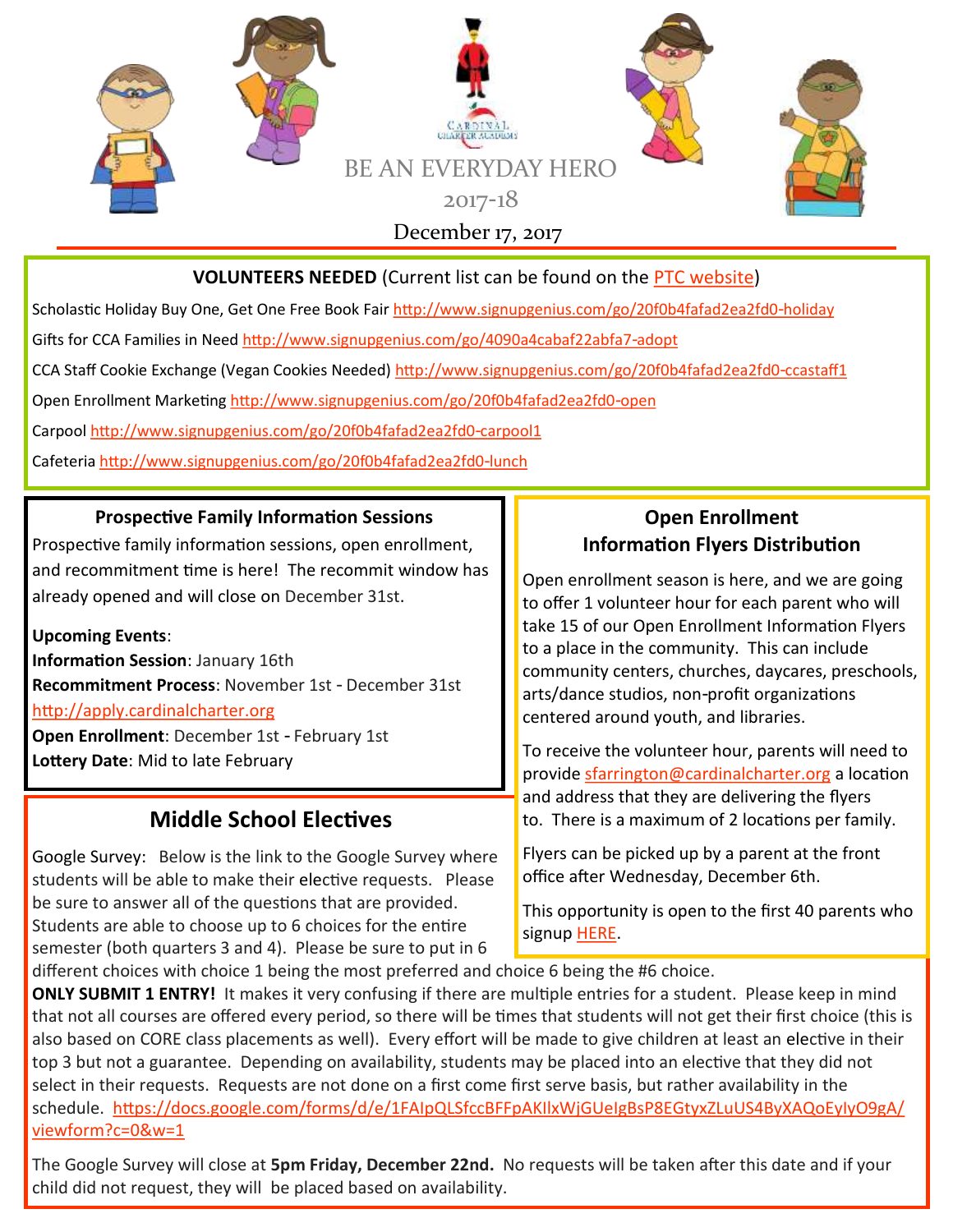

#### **VOLUNTEERS NEEDED** (Current list can be found on the [PTC website\)](https://ccaptccary.org/volunteer-opportunities/)

Scholastic Holiday Buy One, Get One Free Book Fair <http://www.signupgenius.com/go/20f0b4fafad2ea2fd0-holiday>

Gifts for CCA Families in Need <http://www.signupgenius.com/go/4090a4cabaf22abfa7-adopt>

CCA Staff Cookie Exchange (Vegan Cookies Needed) <http://www.signupgenius.com/go/20f0b4fafad2ea2fd0-ccastaff1>

Open Enrollment Marketing<http://www.signupgenius.com/go/20f0b4fafad2ea2fd0-open>

Carpool<http://www.signupgenius.com/go/20f0b4fafad2ea2fd0-carpool1>

Cafeteria <http://www.signupgenius.com/go/20f0b4fafad2ea2fd0-lunch>

#### **Prospective Family Information Sessions**

Prospective family information sessions, open enrollment, and recommitment time is here! The recommit window has already opened and will close on December 31st.

**Upcoming Events**: **Information Session**: January 16th **Recommitment Process**: November 1st - December 31st <http://apply.cardinalcharter.org> **Open Enrollment**: December 1st - February 1st

**Lottery Date**: Mid to late February

## **Middle School Electives**

Google Survey: Below is the link to the Google Survey where students will be able to make their elective requests. Please be sure to answer all of the questions that are provided. Students are able to choose up to 6 choices for the entire semester (both quarters 3 and 4). Please be sure to put in 6

#### **Open Enrollment Information Flyers Distribution**

Open enrollment season is here, and we are going to offer 1 volunteer hour for each parent who will take 15 of our Open Enrollment Information Flyers to a place in the community. This can include community centers, churches, daycares, preschools, arts/dance studios, non-profit organizations centered around youth, and libraries.

To receive the volunteer hour, parents will need to provide [sfarrington@cardinalcharter.org](mailto:sfarrington@cardinalcharter.org) a location and address that they are delivering the flyers to. There is a maximum of 2 locations per family.

Flyers can be picked up by a parent at the front office after Wednesday, December 6th.

This opportunity is open to the first 40 parents who signup [HERE.](http://www.signupgenius.com/go/20F0B4FAFAD2EA2FD0-open)

different choices with choice 1 being the most preferred and choice 6 being the #6 choice.

**ONLY SUBMIT 1 ENTRY!** It makes it very confusing if there are multiple entries for a student. Please keep in mind that not all courses are offered every period, so there will be times that students will not get their first choice (this is also based on CORE class placements as well). Every effort will be made to give children at least an elective in their top 3 but not a guarantee. Depending on availability, students may be placed into an elective that they did not select in their requests. Requests are not done on a first come first serve basis, but rather availability in the schedule. [https://docs.google.com/forms/d/e/1FAIpQLSfccBFFpAKIlxWjGUeIgBsP8EGtyxZLuUS4ByXAQoEyIyO9gA/](https://docs.google.com/forms/d/e/1FAIpQLSfccBFFpAKIlxWjGUeIgBsP8EGtyxZLuUS4ByXAQoEyIyO9gA/viewform?c=0&w=1) [viewform?c=0&w=1](https://docs.google.com/forms/d/e/1FAIpQLSfccBFFpAKIlxWjGUeIgBsP8EGtyxZLuUS4ByXAQoEyIyO9gA/viewform?c=0&w=1)

The Google Survey will close at **5pm Friday, December 22nd.** No requests will be taken after this date and if your child did not request, they will be placed based on availability.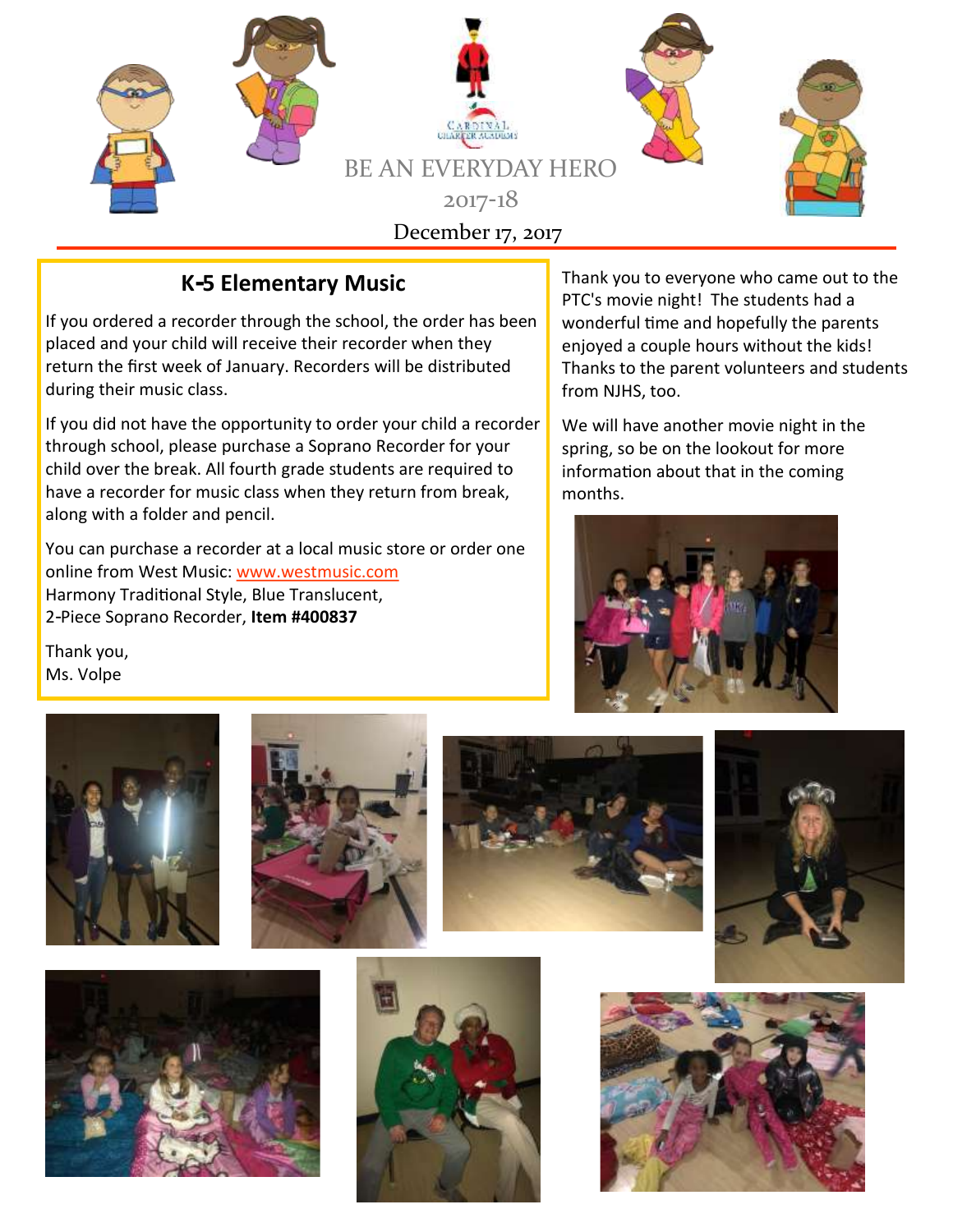

## **K-5 Elementary Music**

If you ordered a recorder through the school, the order has been placed and your child will receive their recorder when they return the first week of January. Recorders will be distributed during their music class.

If you did not have the opportunity to order your child a recorder through school, please purchase a Soprano Recorder for your child over the break. All fourth grade students are required to have a recorder for music class when they return from break, along with a folder and pencil.

You can purchase a recorder at a local music store or order one online from West Music: [www.westmusic.com](http://www.westmusic.com/) Harmony Traditional Style, Blue Translucent, 2-Piece Soprano Recorder, **Item #400837**

Thank you to everyone who came out to the PTC's movie night! The students had a wonderful time and hopefully the parents enjoyed a couple hours without the kids! Thanks to the parent volunteers and students from NJHS, too.

We will have another movie night in the spring, so be on the lookout for more information about that in the coming months.



Thank you, Ms. Volpe